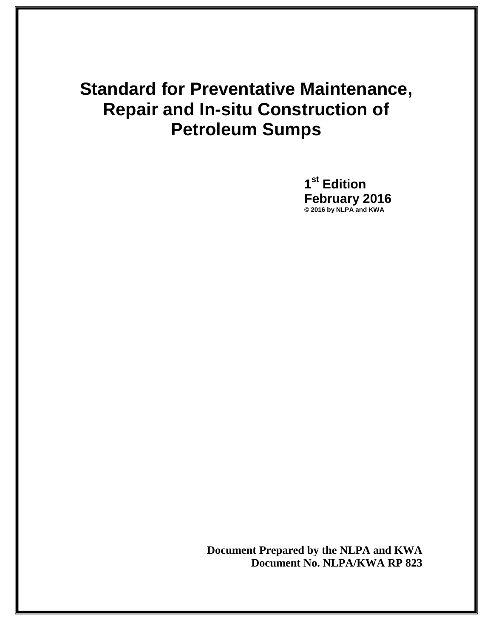# **Standard for Preventative Maintenance, Repair and In-situ Construction of Petroleum Sumps**

**1 st Edition February 2016 © 2016 by NLPA and KWA** 

**Document Prepared by the NLPA and KWA Document No. NLPA/KWA RP 823**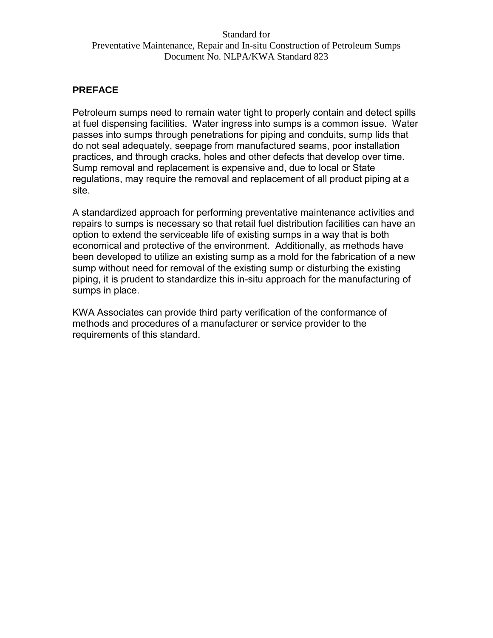#### **PREFACE**

Petroleum sumps need to remain water tight to properly contain and detect spills at fuel dispensing facilities. Water ingress into sumps is a common issue. Water passes into sumps through penetrations for piping and conduits, sump lids that do not seal adequately, seepage from manufactured seams, poor installation practices, and through cracks, holes and other defects that develop over time. Sump removal and replacement is expensive and, due to local or State regulations, may require the removal and replacement of all product piping at a site.

A standardized approach for performing preventative maintenance activities and repairs to sumps is necessary so that retail fuel distribution facilities can have an option to extend the serviceable life of existing sumps in a way that is both economical and protective of the environment. Additionally, as methods have been developed to utilize an existing sump as a mold for the fabrication of a new sump without need for removal of the existing sump or disturbing the existing piping, it is prudent to standardize this in-situ approach for the manufacturing of sumps in place.

KWA Associates can provide third party verification of the conformance of methods and procedures of a manufacturer or service provider to the requirements of this standard.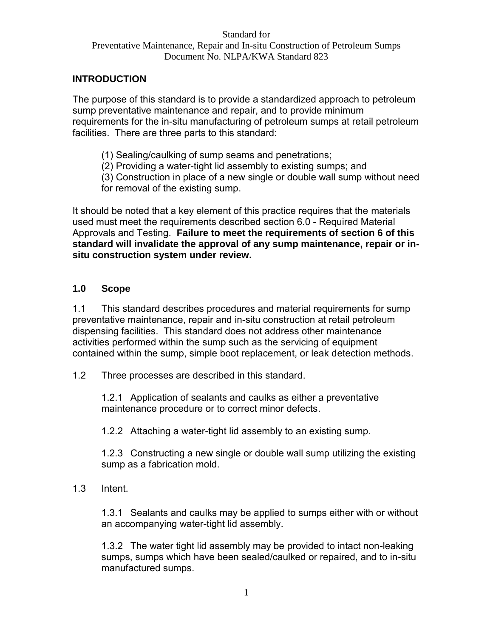# **INTRODUCTION**

The purpose of this standard is to provide a standardized approach to petroleum sump preventative maintenance and repair, and to provide minimum requirements for the in-situ manufacturing of petroleum sumps at retail petroleum facilities. There are three parts to this standard:

- (1) Sealing/caulking of sump seams and penetrations;
- (2) Providing a water-tight lid assembly to existing sumps; and
- (3) Construction in place of a new single or double wall sump without need for removal of the existing sump.

It should be noted that a key element of this practice requires that the materials used must meet the requirements described section 6.0 - Required Material Approvals and Testing. **Failure to meet the requirements of section 6 of this standard will invalidate the approval of any sump maintenance, repair or insitu construction system under review.** 

## **1.0 Scope**

1.1 This standard describes procedures and material requirements for sump preventative maintenance, repair and in-situ construction at retail petroleum dispensing facilities. This standard does not address other maintenance activities performed within the sump such as the servicing of equipment contained within the sump, simple boot replacement, or leak detection methods.

1.2 Three processes are described in this standard.

1.2.1 Application of sealants and caulks as either a preventative maintenance procedure or to correct minor defects.

1.2.2 Attaching a water-tight lid assembly to an existing sump.

1.2.3 Constructing a new single or double wall sump utilizing the existing sump as a fabrication mold.

1.3 Intent.

1.3.1 Sealants and caulks may be applied to sumps either with or without an accompanying water-tight lid assembly.

1.3.2 The water tight lid assembly may be provided to intact non-leaking sumps, sumps which have been sealed/caulked or repaired, and to in-situ manufactured sumps.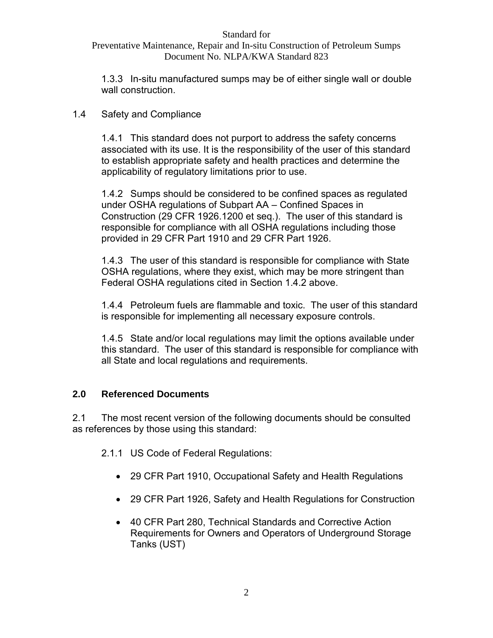Preventative Maintenance, Repair and In-situ Construction of Petroleum Sumps Document No. NLPA/KWA Standard 823

1.3.3 In-situ manufactured sumps may be of either single wall or double wall construction.

# 1.4 Safety and Compliance

1.4.1 This standard does not purport to address the safety concerns associated with its use. It is the responsibility of the user of this standard to establish appropriate safety and health practices and determine the applicability of regulatory limitations prior to use.

1.4.2 Sumps should be considered to be confined spaces as regulated under OSHA regulations of Subpart AA – Confined Spaces in Construction (29 CFR 1926.1200 et seq.). The user of this standard is responsible for compliance with all OSHA regulations including those provided in 29 CFR Part 1910 and 29 CFR Part 1926.

1.4.3 The user of this standard is responsible for compliance with State OSHA regulations, where they exist, which may be more stringent than Federal OSHA regulations cited in Section 1.4.2 above.

1.4.4 Petroleum fuels are flammable and toxic. The user of this standard is responsible for implementing all necessary exposure controls.

1.4.5 State and/or local regulations may limit the options available under this standard. The user of this standard is responsible for compliance with all State and local regulations and requirements.

# **2.0 Referenced Documents**

2.1 The most recent version of the following documents should be consulted as references by those using this standard:

2.1.1 US Code of Federal Regulations:

- 29 CFR Part 1910, Occupational Safety and Health Regulations
- 29 CFR Part 1926, Safety and Health Regulations for Construction
- 40 CFR Part 280, Technical Standards and Corrective Action Requirements for Owners and Operators of Underground Storage Tanks (UST)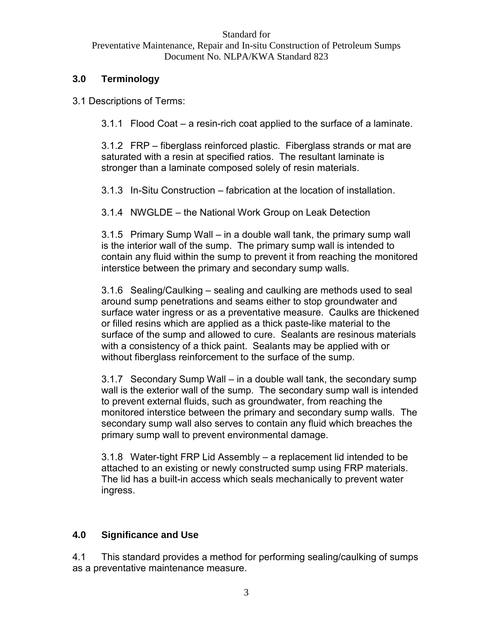# **3.0 Terminology**

3.1 Descriptions of Terms:

3.1.1 Flood Coat – a resin-rich coat applied to the surface of a laminate.

3.1.2 FRP – fiberglass reinforced plastic. Fiberglass strands or mat are saturated with a resin at specified ratios. The resultant laminate is stronger than a laminate composed solely of resin materials.

3.1.3 In-Situ Construction – fabrication at the location of installation.

3.1.4 NWGLDE – the National Work Group on Leak Detection

3.1.5 Primary Sump Wall – in a double wall tank, the primary sump wall is the interior wall of the sump. The primary sump wall is intended to contain any fluid within the sump to prevent it from reaching the monitored interstice between the primary and secondary sump walls.

3.1.6 Sealing/Caulking – sealing and caulking are methods used to seal around sump penetrations and seams either to stop groundwater and surface water ingress or as a preventative measure. Caulks are thickened or filled resins which are applied as a thick paste-like material to the surface of the sump and allowed to cure. Sealants are resinous materials with a consistency of a thick paint. Sealants may be applied with or without fiberglass reinforcement to the surface of the sump.

3.1.7 Secondary Sump Wall – in a double wall tank, the secondary sump wall is the exterior wall of the sump. The secondary sump wall is intended to prevent external fluids, such as groundwater, from reaching the monitored interstice between the primary and secondary sump walls. The secondary sump wall also serves to contain any fluid which breaches the primary sump wall to prevent environmental damage.

3.1.8 Water-tight FRP Lid Assembly – a replacement lid intended to be attached to an existing or newly constructed sump using FRP materials. The lid has a built-in access which seals mechanically to prevent water ingress.

# **4.0 Significance and Use**

4.1 This standard provides a method for performing sealing/caulking of sumps as a preventative maintenance measure.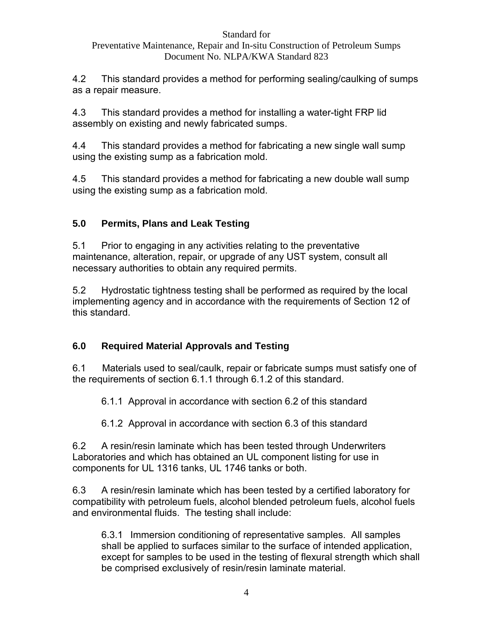# Preventative Maintenance, Repair and In-situ Construction of Petroleum Sumps Document No. NLPA/KWA Standard 823

4.2 This standard provides a method for performing sealing/caulking of sumps as a repair measure.

4.3 This standard provides a method for installing a water-tight FRP lid assembly on existing and newly fabricated sumps.

4.4 This standard provides a method for fabricating a new single wall sump using the existing sump as a fabrication mold.

4.5 This standard provides a method for fabricating a new double wall sump using the existing sump as a fabrication mold.

# **5.0 Permits, Plans and Leak Testing**

5.1 Prior to engaging in any activities relating to the preventative maintenance, alteration, repair, or upgrade of any UST system, consult all necessary authorities to obtain any required permits.

5.2 Hydrostatic tightness testing shall be performed as required by the local implementing agency and in accordance with the requirements of Section 12 of this standard.

# **6.0 Required Material Approvals and Testing**

6.1 Materials used to seal/caulk, repair or fabricate sumps must satisfy one of the requirements of section 6.1.1 through 6.1.2 of this standard.

6.1.1 Approval in accordance with section 6.2 of this standard

6.1.2 Approval in accordance with section 6.3 of this standard

6.2 A resin/resin laminate which has been tested through Underwriters Laboratories and which has obtained an UL component listing for use in components for UL 1316 tanks, UL 1746 tanks or both.

6.3 A resin/resin laminate which has been tested by a certified laboratory for compatibility with petroleum fuels, alcohol blended petroleum fuels, alcohol fuels and environmental fluids. The testing shall include:

6.3.1 Immersion conditioning of representative samples. All samples shall be applied to surfaces similar to the surface of intended application, except for samples to be used in the testing of flexural strength which shall be comprised exclusively of resin/resin laminate material.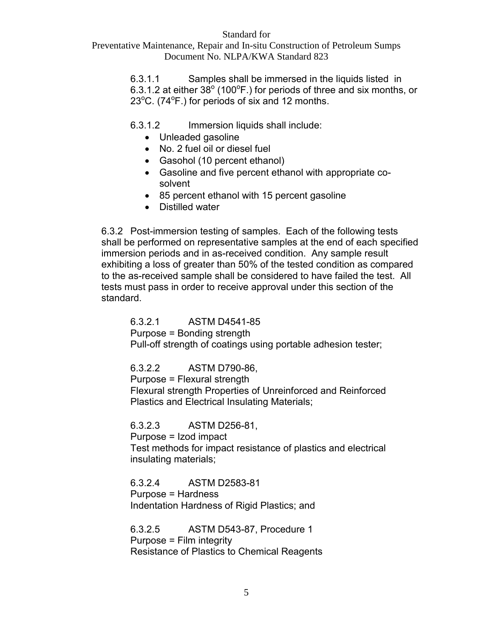Preventative Maintenance, Repair and In-situ Construction of Petroleum Sumps Document No. NLPA/KWA Standard 823

> 6.3.1.1 Samples shall be immersed in the liquids listed in 6.3.1.2 at either 38 $^{\circ}$  (100 $^{\circ}$ F.) for periods of three and six months, or  $23^{\circ}$ C. (74 $^{\circ}$ F.) for periods of six and 12 months.

6.3.1.2 Immersion liquids shall include:

- Unleaded gasoline
- No. 2 fuel oil or diesel fuel
- Gasohol (10 percent ethanol)
- Gasoline and five percent ethanol with appropriate cosolvent
- 85 percent ethanol with 15 percent gasoline
- Distilled water

6.3.2 Post-immersion testing of samples. Each of the following tests shall be performed on representative samples at the end of each specified immersion periods and in as-received condition. Any sample result exhibiting a loss of greater than 50% of the tested condition as compared to the as-received sample shall be considered to have failed the test. All tests must pass in order to receive approval under this section of the standard.

6.3.2.1 ASTM D4541-85 Purpose = Bonding strength

Pull-off strength of coatings using portable adhesion tester;

6.3.2.2 ASTM D790-86,

Purpose = Flexural strength

Flexural strength Properties of Unreinforced and Reinforced Plastics and Electrical Insulating Materials;

6.3.2.3 ASTM D256-81,

Purpose = Izod impact

Test methods for impact resistance of plastics and electrical insulating materials;

6.3.2.4 ASTM D2583-81 Purpose = Hardness Indentation Hardness of Rigid Plastics; and

6.3.2.5 ASTM D543-87, Procedure 1 Purpose = Film integrity Resistance of Plastics to Chemical Reagents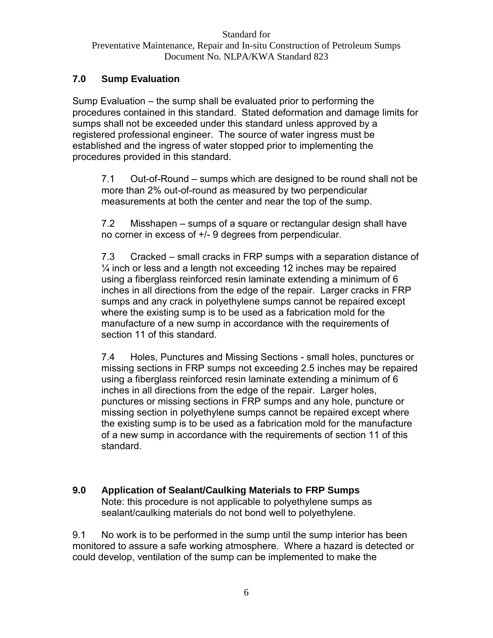## **7.0 Sump Evaluation**

Sump Evaluation – the sump shall be evaluated prior to performing the procedures contained in this standard. Stated deformation and damage limits for sumps shall not be exceeded under this standard unless approved by a registered professional engineer. The source of water ingress must be established and the ingress of water stopped prior to implementing the procedures provided in this standard.

7.1 Out-of-Round – sumps which are designed to be round shall not be more than 2% out-of-round as measured by two perpendicular measurements at both the center and near the top of the sump.

7.2 Misshapen – sumps of a square or rectangular design shall have no corner in excess of +/- 9 degrees from perpendicular.

7.3 Cracked – small cracks in FRP sumps with a separation distance of  $\frac{1}{4}$  inch or less and a length not exceeding 12 inches may be repaired using a fiberglass reinforced resin laminate extending a minimum of 6 inches in all directions from the edge of the repair. Larger cracks in FRP sumps and any crack in polyethylene sumps cannot be repaired except where the existing sump is to be used as a fabrication mold for the manufacture of a new sump in accordance with the requirements of section 11 of this standard.

7.4 Holes, Punctures and Missing Sections - small holes, punctures or missing sections in FRP sumps not exceeding 2.5 inches may be repaired using a fiberglass reinforced resin laminate extending a minimum of 6 inches in all directions from the edge of the repair. Larger holes, punctures or missing sections in FRP sumps and any hole, puncture or missing section in polyethylene sumps cannot be repaired except where the existing sump is to be used as a fabrication mold for the manufacture of a new sump in accordance with the requirements of section 11 of this standard.

## **9.0 Application of Sealant/Caulking Materials to FRP Sumps**  Note: this procedure is not applicable to polyethylene sumps as sealant/caulking materials do not bond well to polyethylene.

9.1 No work is to be performed in the sump until the sump interior has been monitored to assure a safe working atmosphere. Where a hazard is detected or could develop, ventilation of the sump can be implemented to make the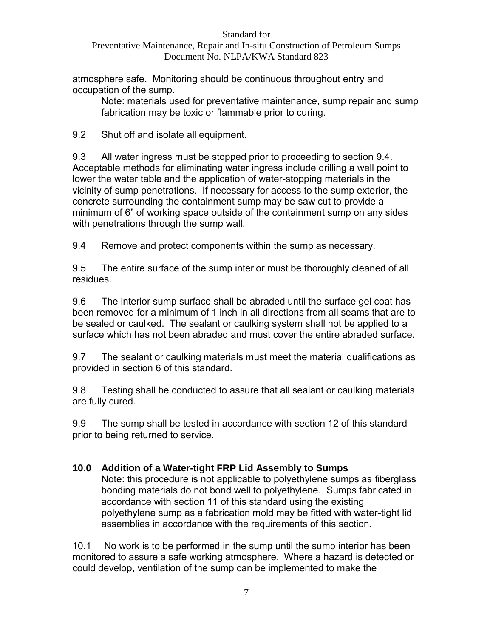# Preventative Maintenance, Repair and In-situ Construction of Petroleum Sumps Document No. NLPA/KWA Standard 823

atmosphere safe. Monitoring should be continuous throughout entry and occupation of the sump.

Note: materials used for preventative maintenance, sump repair and sump fabrication may be toxic or flammable prior to curing.

9.2 Shut off and isolate all equipment.

9.3 All water ingress must be stopped prior to proceeding to section 9.4. Acceptable methods for eliminating water ingress include drilling a well point to lower the water table and the application of water-stopping materials in the vicinity of sump penetrations. If necessary for access to the sump exterior, the concrete surrounding the containment sump may be saw cut to provide a minimum of 6" of working space outside of the containment sump on any sides with penetrations through the sump wall.

9.4 Remove and protect components within the sump as necessary.

9.5 The entire surface of the sump interior must be thoroughly cleaned of all residues.

9.6 The interior sump surface shall be abraded until the surface gel coat has been removed for a minimum of 1 inch in all directions from all seams that are to be sealed or caulked. The sealant or caulking system shall not be applied to a surface which has not been abraded and must cover the entire abraded surface.

9.7 The sealant or caulking materials must meet the material qualifications as provided in section 6 of this standard.

9.8 Testing shall be conducted to assure that all sealant or caulking materials are fully cured.

9.9 The sump shall be tested in accordance with section 12 of this standard prior to being returned to service.

# **10.0 Addition of a Water-tight FRP Lid Assembly to Sumps**

Note: this procedure is not applicable to polyethylene sumps as fiberglass bonding materials do not bond well to polyethylene. Sumps fabricated in accordance with section 11 of this standard using the existing polyethylene sump as a fabrication mold may be fitted with water-tight lid assemblies in accordance with the requirements of this section.

10.1 No work is to be performed in the sump until the sump interior has been monitored to assure a safe working atmosphere. Where a hazard is detected or could develop, ventilation of the sump can be implemented to make the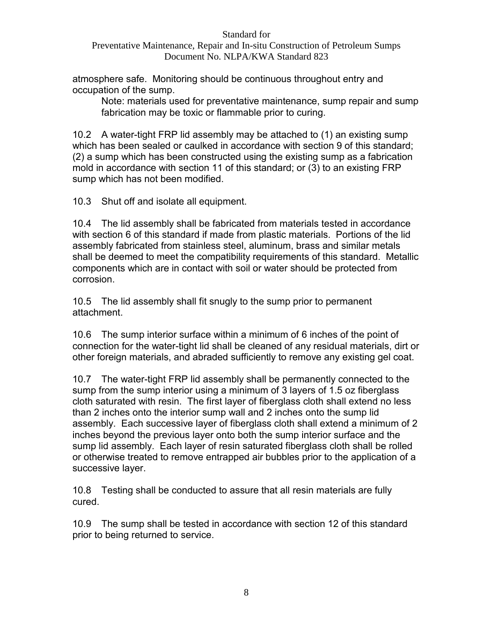## Preventative Maintenance, Repair and In-situ Construction of Petroleum Sumps Document No. NLPA/KWA Standard 823

atmosphere safe. Monitoring should be continuous throughout entry and occupation of the sump.

Note: materials used for preventative maintenance, sump repair and sump fabrication may be toxic or flammable prior to curing.

10.2 A water-tight FRP lid assembly may be attached to (1) an existing sump which has been sealed or caulked in accordance with section 9 of this standard; (2) a sump which has been constructed using the existing sump as a fabrication mold in accordance with section 11 of this standard; or (3) to an existing FRP sump which has not been modified.

10.3 Shut off and isolate all equipment.

10.4 The lid assembly shall be fabricated from materials tested in accordance with section 6 of this standard if made from plastic materials. Portions of the lid assembly fabricated from stainless steel, aluminum, brass and similar metals shall be deemed to meet the compatibility requirements of this standard. Metallic components which are in contact with soil or water should be protected from corrosion.

10.5 The lid assembly shall fit snugly to the sump prior to permanent attachment.

10.6 The sump interior surface within a minimum of 6 inches of the point of connection for the water-tight lid shall be cleaned of any residual materials, dirt or other foreign materials, and abraded sufficiently to remove any existing gel coat.

10.7 The water-tight FRP lid assembly shall be permanently connected to the sump from the sump interior using a minimum of 3 layers of 1.5 oz fiberglass cloth saturated with resin. The first layer of fiberglass cloth shall extend no less than 2 inches onto the interior sump wall and 2 inches onto the sump lid assembly. Each successive layer of fiberglass cloth shall extend a minimum of 2 inches beyond the previous layer onto both the sump interior surface and the sump lid assembly. Each layer of resin saturated fiberglass cloth shall be rolled or otherwise treated to remove entrapped air bubbles prior to the application of a successive layer.

10.8 Testing shall be conducted to assure that all resin materials are fully cured.

10.9 The sump shall be tested in accordance with section 12 of this standard prior to being returned to service.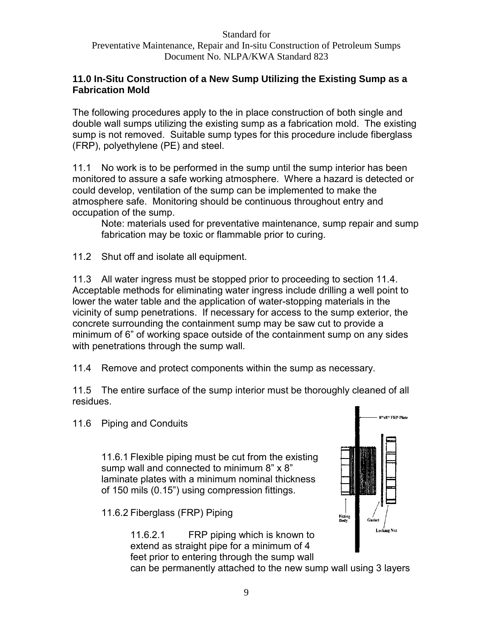## **11.0 In-Situ Construction of a New Sump Utilizing the Existing Sump as a Fabrication Mold**

The following procedures apply to the in place construction of both single and double wall sumps utilizing the existing sump as a fabrication mold. The existing sump is not removed. Suitable sump types for this procedure include fiberglass (FRP), polyethylene (PE) and steel.

11.1 No work is to be performed in the sump until the sump interior has been monitored to assure a safe working atmosphere. Where a hazard is detected or could develop, ventilation of the sump can be implemented to make the atmosphere safe. Monitoring should be continuous throughout entry and occupation of the sump.

Note: materials used for preventative maintenance, sump repair and sump fabrication may be toxic or flammable prior to curing.

11.2 Shut off and isolate all equipment.

11.3 All water ingress must be stopped prior to proceeding to section 11.4. Acceptable methods for eliminating water ingress include drilling a well point to lower the water table and the application of water-stopping materials in the vicinity of sump penetrations. If necessary for access to the sump exterior, the concrete surrounding the containment sump may be saw cut to provide a minimum of 6" of working space outside of the containment sump on any sides with penetrations through the sump wall.

11.4 Remove and protect components within the sump as necessary.

11.5 The entire surface of the sump interior must be thoroughly cleaned of all residues.

11.6 Piping and Conduits

11.6.1 Flexible piping must be cut from the existing sump wall and connected to minimum 8" x 8" laminate plates with a minimum nominal thickness of 150 mils (0.15") using compression fittings.

11.6.2 Fiberglass (FRP) Piping

11.6.2.1 FRP piping which is known to extend as straight pipe for a minimum of 4 feet prior to entering through the sump wall



can be permanently attached to the new sump wall using 3 layers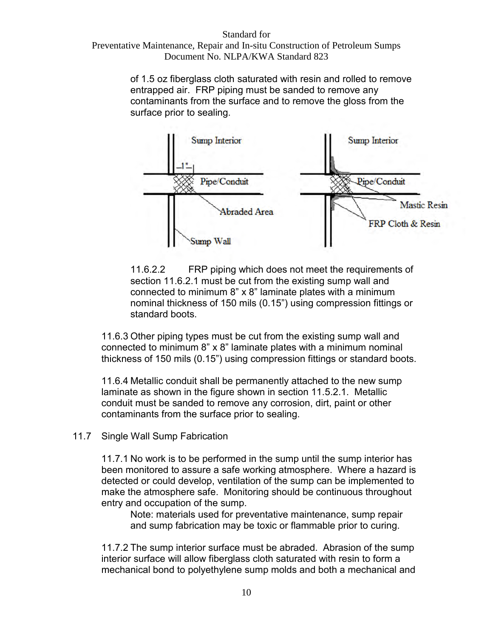# Standard for Preventative Maintenance, Repair and In-situ Construction of Petroleum Sumps

Document No. NLPA/KWA Standard 823

of 1.5 oz fiberglass cloth saturated with resin and rolled to remove entrapped air. FRP piping must be sanded to remove any contaminants from the surface and to remove the gloss from the surface prior to sealing.



11.6.2.2 FRP piping which does not meet the requirements of section 11.6.2.1 must be cut from the existing sump wall and connected to minimum 8" x 8" laminate plates with a minimum nominal thickness of 150 mils (0.15") using compression fittings or standard boots.

11.6.3 Other piping types must be cut from the existing sump wall and connected to minimum 8" x 8" laminate plates with a minimum nominal thickness of 150 mils (0.15") using compression fittings or standard boots.

11.6.4 Metallic conduit shall be permanently attached to the new sump laminate as shown in the figure shown in section 11.5.2.1. Metallic conduit must be sanded to remove any corrosion, dirt, paint or other contaminants from the surface prior to sealing.

11.7 Single Wall Sump Fabrication

11.7.1 No work is to be performed in the sump until the sump interior has been monitored to assure a safe working atmosphere. Where a hazard is detected or could develop, ventilation of the sump can be implemented to make the atmosphere safe. Monitoring should be continuous throughout entry and occupation of the sump.

Note: materials used for preventative maintenance, sump repair and sump fabrication may be toxic or flammable prior to curing.

11.7.2 The sump interior surface must be abraded. Abrasion of the sump interior surface will allow fiberglass cloth saturated with resin to form a mechanical bond to polyethylene sump molds and both a mechanical and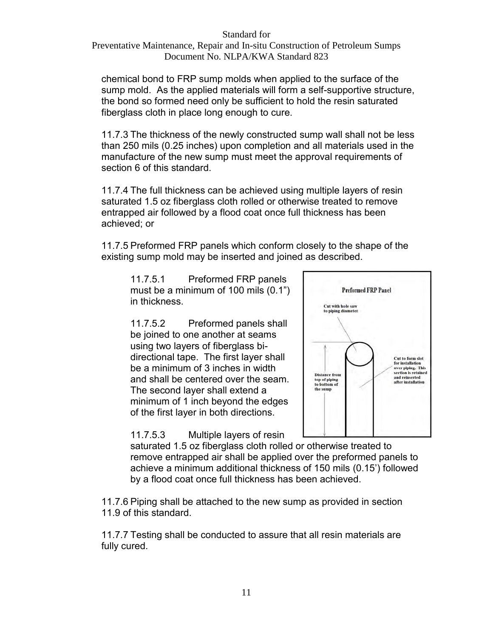Preventative Maintenance, Repair and In-situ Construction of Petroleum Sumps Document No. NLPA/KWA Standard 823

chemical bond to FRP sump molds when applied to the surface of the sump mold. As the applied materials will form a self-supportive structure, the bond so formed need only be sufficient to hold the resin saturated fiberglass cloth in place long enough to cure.

11.7.3 The thickness of the newly constructed sump wall shall not be less than 250 mils (0.25 inches) upon completion and all materials used in the manufacture of the new sump must meet the approval requirements of section 6 of this standard.

11.7.4 The full thickness can be achieved using multiple layers of resin saturated 1.5 oz fiberglass cloth rolled or otherwise treated to remove entrapped air followed by a flood coat once full thickness has been achieved; or

11.7.5 Preformed FRP panels which conform closely to the shape of the existing sump mold may be inserted and joined as described.

11.7.5.1 Preformed FRP panels must be a minimum of 100 mils (0.1") in thickness.

11.7.5.2 Preformed panels shall be joined to one another at seams using two layers of fiberglass bidirectional tape. The first layer shall be a minimum of 3 inches in width and shall be centered over the seam. The second layer shall extend a minimum of 1 inch beyond the edges of the first layer in both directions.

**Preformed FRP Panel** Cut with hole say to piping diameter Cut to form slot for installation for installation<br>over piping. This<br>section is retained **Distance from** and reinserted top of piping<br>to bottom of after installation the sump

11.7.5.3 Multiple layers of resin

saturated 1.5 oz fiberglass cloth rolled or otherwise treated to remove entrapped air shall be applied over the preformed panels to achieve a minimum additional thickness of 150 mils (0.15') followed by a flood coat once full thickness has been achieved.

11.7.6 Piping shall be attached to the new sump as provided in section 11.9 of this standard.

11.7.7 Testing shall be conducted to assure that all resin materials are fully cured.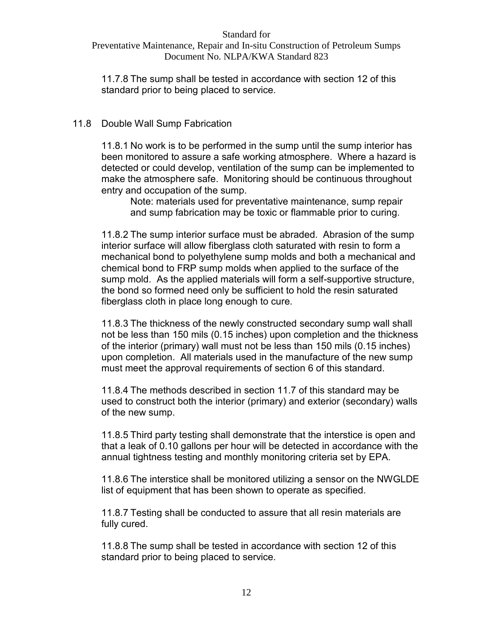Preventative Maintenance, Repair and In-situ Construction of Petroleum Sumps Document No. NLPA/KWA Standard 823

11.7.8 The sump shall be tested in accordance with section 12 of this standard prior to being placed to service.

## 11.8 Double Wall Sump Fabrication

11.8.1 No work is to be performed in the sump until the sump interior has been monitored to assure a safe working atmosphere. Where a hazard is detected or could develop, ventilation of the sump can be implemented to make the atmosphere safe. Monitoring should be continuous throughout entry and occupation of the sump.

Note: materials used for preventative maintenance, sump repair and sump fabrication may be toxic or flammable prior to curing.

11.8.2 The sump interior surface must be abraded. Abrasion of the sump interior surface will allow fiberglass cloth saturated with resin to form a mechanical bond to polyethylene sump molds and both a mechanical and chemical bond to FRP sump molds when applied to the surface of the sump mold. As the applied materials will form a self-supportive structure, the bond so formed need only be sufficient to hold the resin saturated fiberglass cloth in place long enough to cure.

11.8.3 The thickness of the newly constructed secondary sump wall shall not be less than 150 mils (0.15 inches) upon completion and the thickness of the interior (primary) wall must not be less than 150 mils (0.15 inches) upon completion. All materials used in the manufacture of the new sump must meet the approval requirements of section 6 of this standard.

11.8.4 The methods described in section 11.7 of this standard may be used to construct both the interior (primary) and exterior (secondary) walls of the new sump.

11.8.5 Third party testing shall demonstrate that the interstice is open and that a leak of 0.10 gallons per hour will be detected in accordance with the annual tightness testing and monthly monitoring criteria set by EPA.

11.8.6 The interstice shall be monitored utilizing a sensor on the NWGLDE list of equipment that has been shown to operate as specified.

11.8.7 Testing shall be conducted to assure that all resin materials are fully cured.

11.8.8 The sump shall be tested in accordance with section 12 of this standard prior to being placed to service.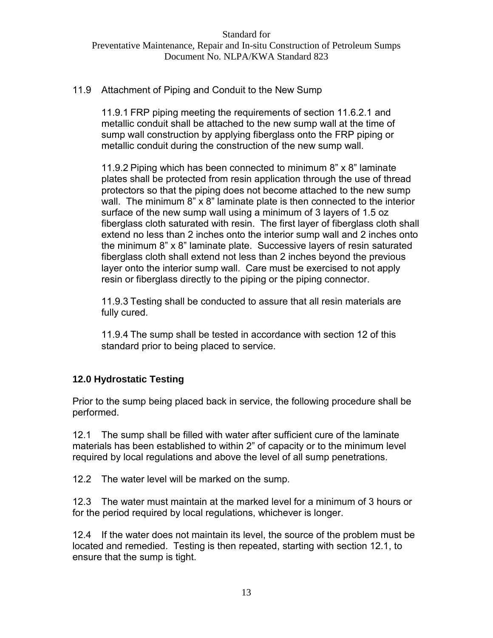## 11.9 Attachment of Piping and Conduit to the New Sump

11.9.1 FRP piping meeting the requirements of section 11.6.2.1 and metallic conduit shall be attached to the new sump wall at the time of sump wall construction by applying fiberglass onto the FRP piping or metallic conduit during the construction of the new sump wall.

11.9.2 Piping which has been connected to minimum 8" x 8" laminate plates shall be protected from resin application through the use of thread protectors so that the piping does not become attached to the new sump wall. The minimum 8" x 8" laminate plate is then connected to the interior surface of the new sump wall using a minimum of 3 layers of 1.5 oz fiberglass cloth saturated with resin. The first layer of fiberglass cloth shall extend no less than 2 inches onto the interior sump wall and 2 inches onto the minimum 8" x 8" laminate plate. Successive layers of resin saturated fiberglass cloth shall extend not less than 2 inches beyond the previous layer onto the interior sump wall. Care must be exercised to not apply resin or fiberglass directly to the piping or the piping connector.

11.9.3 Testing shall be conducted to assure that all resin materials are fully cured.

11.9.4 The sump shall be tested in accordance with section 12 of this standard prior to being placed to service.

## **12.0 Hydrostatic Testing**

Prior to the sump being placed back in service, the following procedure shall be performed.

12.1 The sump shall be filled with water after sufficient cure of the laminate materials has been established to within 2" of capacity or to the minimum level required by local regulations and above the level of all sump penetrations.

12.2 The water level will be marked on the sump.

12.3 The water must maintain at the marked level for a minimum of 3 hours or for the period required by local regulations, whichever is longer.

12.4 If the water does not maintain its level, the source of the problem must be located and remedied. Testing is then repeated, starting with section 12.1, to ensure that the sump is tight.